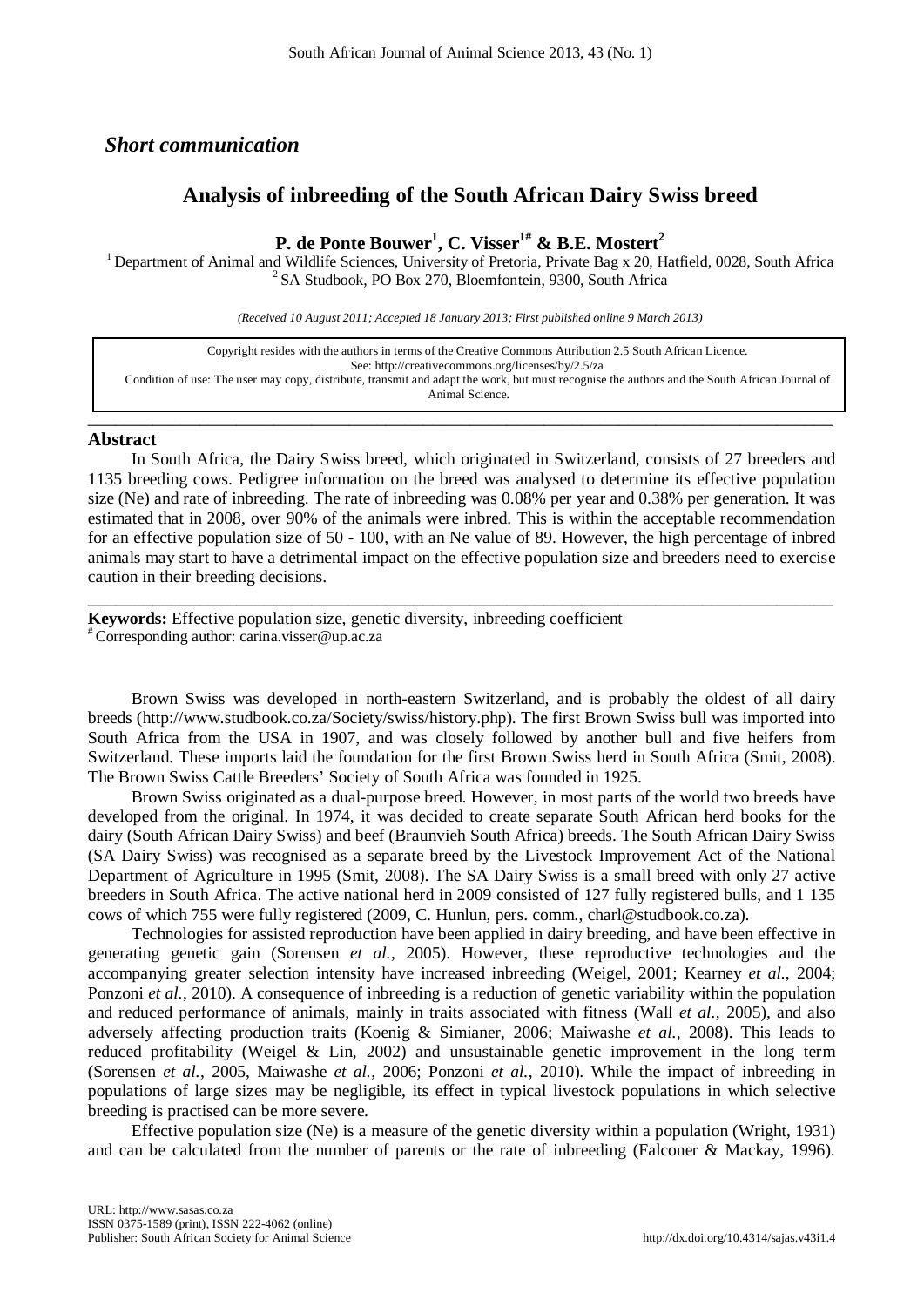## *Short communication*

## **Analysis of inbreeding of the South African Dairy Swiss breed**

# **P. de Ponte Bouwer1 , C. Visser1# & B.E. Mostert 2**

<sup>1</sup> Department of Animal and Wildlife Sciences, University of Pretoria, Private Bag x 20, Hatfield, 0028, South Africa  $2$  SA Studbook, PO Box 270, Bloemfontein, 9300, South Africa

*(Received 10 August 2011; Accepted 18 January 2013; First published online 9 March 2013)*

Copyright resides with the authors in terms of the Creative Commons Attribution 2.5 South African Licence. See:<http://creativecommons.org/licenses/by/2.5/za> Condition of use: The user may copy, distribute, transmit and adapt the work, but must recognise the authors and the South African Journal of Animal Science.

### **Abstract**

In South Africa, the Dairy Swiss breed, which originated in Switzerland, consists of 27 breeders and 1135 breeding cows. Pedigree information on the breed was analysed to determine its effective population size (Ne) and rate of inbreeding. The rate of inbreeding was 0.08% per year and 0.38% per generation. It was estimated that in 2008, over 90% of the animals were inbred. This is within the acceptable recommendation for an effective population size of 50 - 100, with an Ne value of 89. However, the high percentage of inbred animals may start to have a detrimental impact on the effective population size and breeders need to exercise caution in their breeding decisions.

\_\_\_\_\_\_\_\_\_\_\_\_\_\_\_\_\_\_\_\_\_\_\_\_\_\_\_\_\_\_\_\_\_\_\_\_\_\_\_\_\_\_\_\_\_\_\_\_\_\_\_\_\_\_\_\_\_\_\_\_\_\_\_\_\_\_\_\_\_\_\_\_\_\_\_\_\_\_\_\_

\_\_\_\_\_\_\_\_\_\_\_\_\_\_\_\_\_\_\_\_\_\_\_\_\_\_\_\_\_\_\_\_\_\_\_\_\_\_\_\_\_\_\_\_\_\_\_\_\_\_\_\_\_\_\_\_\_\_\_\_\_\_\_\_\_\_\_\_\_\_\_\_\_\_\_\_\_\_\_\_

**Keywords:** Effective population size, genetic diversity, inbreeding coefficient  $*$  Corresponding author: carina.visser@up.ac.za

Brown Swiss was developed in north-eastern Switzerland, and is probably the oldest of all dairy breeds (http://www.studbook.co.za/Society/swiss/history.php). The first Brown Swiss bull was imported into South Africa from the USA in 1907, and was closely followed by another bull and five heifers from Switzerland. These imports laid the foundation for the first Brown Swiss herd in South Africa (Smit, 2008). The Brown Swiss Cattle Breeders' Society of South Africa was founded in 1925.

Brown Swiss originated as a dual-purpose breed. However, in most parts of the world two breeds have developed from the original. In 1974, it was decided to create separate South African herd books for the dairy (South African Dairy Swiss) and beef (Braunvieh South Africa) breeds. The South African Dairy Swiss (SA Dairy Swiss) was recognised as a separate breed by the Livestock Improvement Act of the National Department of Agriculture in 1995 (Smit, 2008). The SA Dairy Swiss is a small breed with only 27 active breeders in South Africa. The active national herd in 2009 consisted of 127 fully registered bulls, and 1 135 cows of which 755 were fully registered (2009, C. Hunlun, pers. comm., charl@studbook.co.za).

Technologies for assisted reproduction have been applied in dairy breeding, and have been effective in generating genetic gain (Sorensen *et al.*, 2005). However, these reproductive technologies and the accompanying greater selection intensity have increased inbreeding (Weigel, 2001; Kearney *et al.*, 2004; Ponzoni *et al.*, 2010). A consequence of inbreeding is a reduction of genetic variability within the population and reduced performance of animals, mainly in traits associated with fitness (Wall *et al.*, 2005), and also adversely affecting production traits (Koenig & Simianer, 2006; Maiwashe *et al.*, 2008). This leads to reduced profitability (Weigel & Lin, 2002) and unsustainable genetic improvement in the long term (Sorensen *et al.*, 2005, Maiwashe *et al.*, 2006; Ponzoni *et al.*, 2010). While the impact of inbreeding in populations of large sizes may be negligible, its effect in typical livestock populations in which selective breeding is practised can be more severe.

Effective population size (Ne) is a measure of the genetic diversity within a population (Wright, 1931) and can be calculated from the number of parents or the rate of inbreeding (Falconer & Mackay, 1996).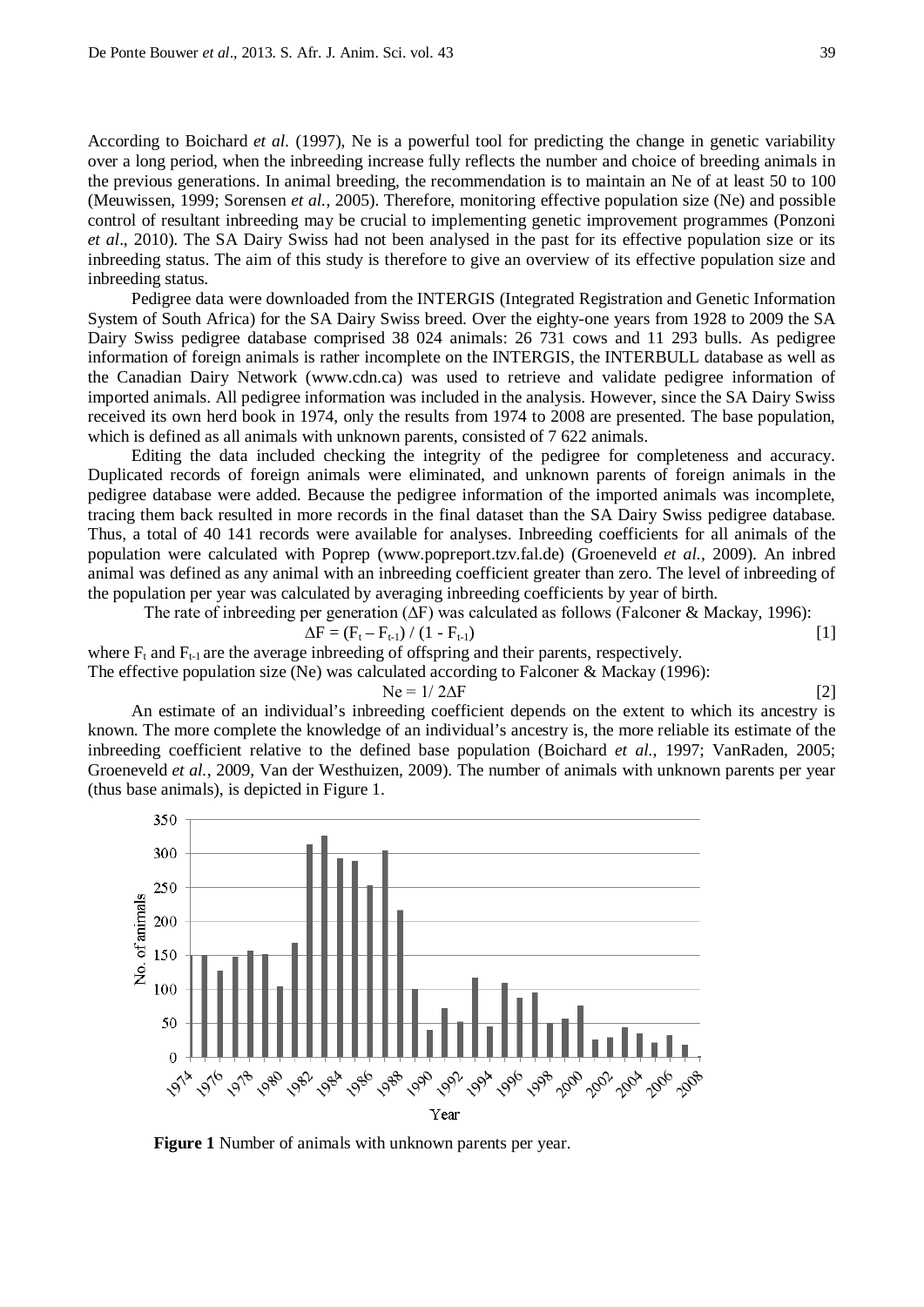According to Boichard *et al.* (1997), Ne is a powerful tool for predicting the change in genetic variability over a long period, when the inbreeding increase fully reflects the number and choice of breeding animals in the previous generations. In animal breeding, the recommendation is to maintain an Ne of at least 50 to 100 (Meuwissen, 1999; Sorensen *et al.*, 2005). Therefore, monitoring effective population size (Ne) and possible control of resultant inbreeding may be crucial to implementing genetic improvement programmes (Ponzoni *et al*., 2010). The SA Dairy Swiss had not been analysed in the past for its effective population size or its inbreeding status. The aim of this study is therefore to give an overview of its effective population size and inbreeding status.

Pedigree data were downloaded from the INTERGIS (Integrated Registration and Genetic Information System of South Africa) for the SA Dairy Swiss breed. Over the eighty-one years from 1928 to 2009 the SA Dairy Swiss pedigree database comprised 38 024 animals: 26 731 cows and 11 293 bulls. As pedigree information of foreign animals is rather incomplete on the INTERGIS, the INTERBULL database as well as the Canadian Dairy Network (www.cdn.ca) was used to retrieve and validate pedigree information of imported animals. All pedigree information was included in the analysis. However, since the SA Dairy Swiss received its own herd book in 1974, only the results from 1974 to 2008 are presented. The base population, which is defined as all animals with unknown parents, consisted of  $7\,622$  animals.

Editing the data included checking the integrity of the pedigree for completeness and accuracy. Duplicated records of foreign animals were eliminated, and unknown parents of foreign animals in the pedigree database were added. Because the pedigree information of the imported animals was incomplete, tracing them back resulted in more records in the final dataset than the SA Dairy Swiss pedigree database. Thus, a total of 40 141 records were available for analyses. Inbreeding coefficients for all animals of the population were calculated with Poprep [\(www.popreport.tzv.fal.de\)](http://www.popreport.tzv.fal.de/) (Groeneveld *et al.*, 2009). An inbred animal was defined as any animal with an inbreeding coefficient greater than zero. The level of inbreeding of the population per year was calculated by averaging inbreeding coefficients by year of birth.

The rate of inbreeding per generation (∆F) was calculated as follows (Falconer & Mackay, 1996):

$$
\Delta F = (F_t - F_{t-1}) / (1 - F_{t-1})
$$
\n[1]

where  $F_t$  and  $F_{t-1}$  are the average inbreeding of offspring and their parents, respectively.

The effective population size (Ne) was calculated according to Falconer & Mackay (1996):

$$
Ne = 1/2\Delta F
$$
 [2]

An estimate of an individual's inbreeding coefficient depends on the extent to which its ancestry is known. The more complete the knowledge of an individual's ancestry is, the more reliable its estimate of the inbreeding coefficient relative to the defined base population (Boichard *et al.*, 1997; VanRaden, 2005; Groeneveld *et al.*, 2009, Van der Westhuizen, 2009). The number of animals with unknown parents per year (thus base animals), is depicted in Figure 1.



**Figure 1** Number of animals with unknown parents per year.

$$
\lfloor 2 \rfloor
$$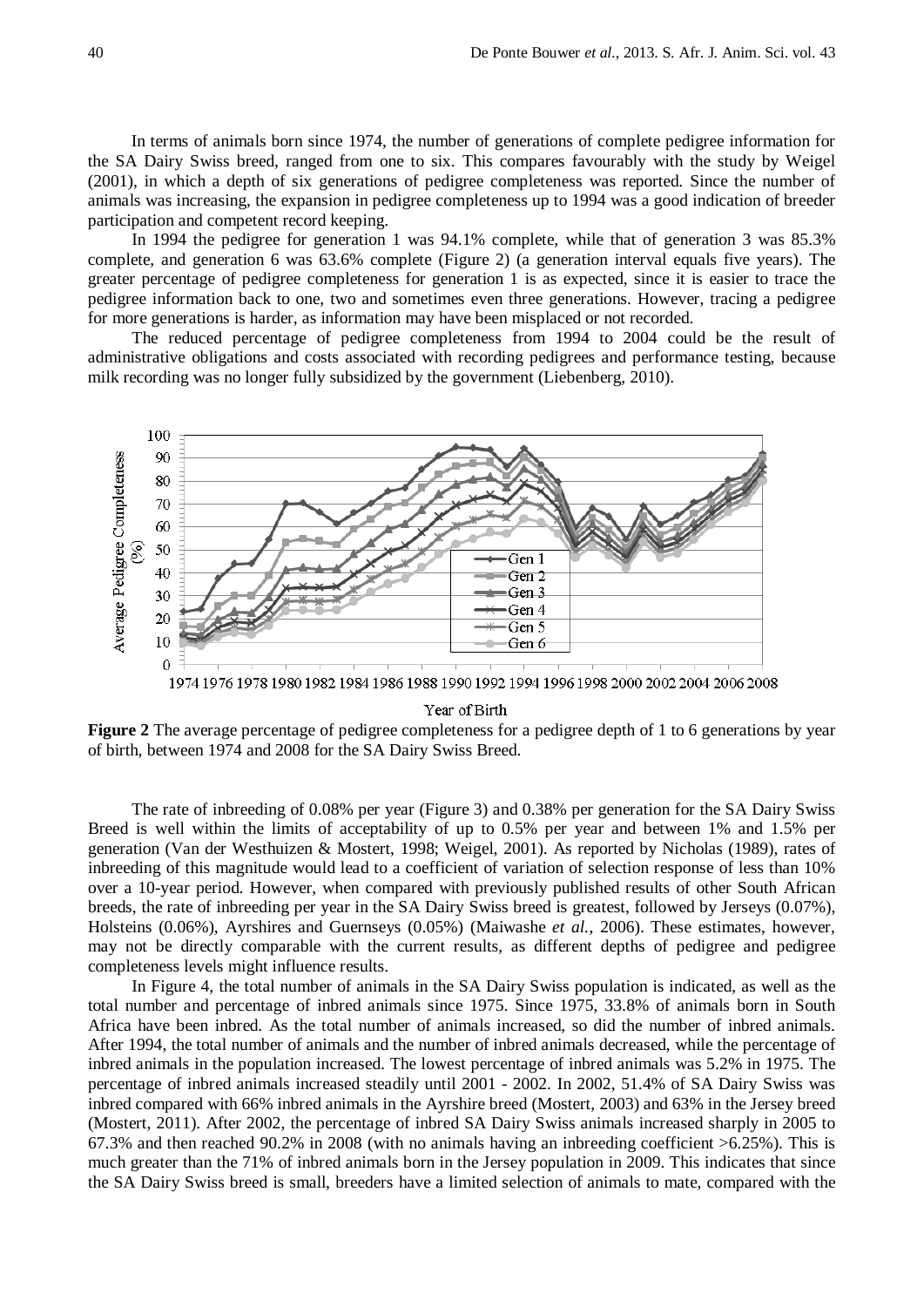In terms of animals born since 1974, the number of generations of complete pedigree information for the SA Dairy Swiss breed, ranged from one to six. This compares favourably with the study by Weigel (2001), in which a depth of six generations of pedigree completeness was reported. Since the number of animals was increasing, the expansion in pedigree completeness up to 1994 was a good indication of breeder participation and competent record keeping.

In 1994 the pedigree for generation 1 was 94.1% complete, while that of generation 3 was 85.3% complete, and generation 6 was 63.6% complete (Figure 2) (a generation interval equals five years). The greater percentage of pedigree completeness for generation 1 is as expected, since it is easier to trace the pedigree information back to one, two and sometimes even three generations. However, tracing a pedigree for more generations is harder, as information may have been misplaced or not recorded.

The reduced percentage of pedigree completeness from 1994 to 2004 could be the result of administrative obligations and costs associated with recording pedigrees and performance testing, because milk recording was no longer fully subsidized by the government (Liebenberg, 2010).



1974 1976 1978 1980 1982 1984 1986 1988 1990 1992 1994 1996 1998 2000 2002 2004 2006 2008

Year of Birth

**Figure 2** The average percentage of pedigree completeness for a pedigree depth of 1 to 6 generations by year of birth, between 1974 and 2008 for the SA Dairy Swiss Breed.

The rate of inbreeding of 0.08% per year (Figure 3) and 0.38% per generation for the SA Dairy Swiss Breed is well within the limits of acceptability of up to 0.5% per year and between 1% and 1.5% per generation (Van der Westhuizen & Mostert, 1998; Weigel, 2001). As reported by Nicholas (1989), rates of inbreeding of this magnitude would lead to a coefficient of variation of selection response of less than 10% over a 10-year period. However, when compared with previously published results of other South African breeds, the rate of inbreeding per year in the SA Dairy Swiss breed is greatest, followed by Jerseys (0.07%), Holsteins (0.06%), Ayrshires and Guernseys (0.05%) (Maiwashe *et al.*, 2006). These estimates, however, may not be directly comparable with the current results, as different depths of pedigree and pedigree completeness levels might influence results.

In Figure 4, the total number of animals in the SA Dairy Swiss population is indicated, as well as the total number and percentage of inbred animals since 1975. Since 1975, 33.8% of animals born in South Africa have been inbred. As the total number of animals increased, so did the number of inbred animals. After 1994, the total number of animals and the number of inbred animals decreased, while the percentage of inbred animals in the population increased. The lowest percentage of inbred animals was 5.2% in 1975. The percentage of inbred animals increased steadily until 2001 - 2002. In 2002, 51.4% of SA Dairy Swiss was inbred compared with 66% inbred animals in the Ayrshire breed (Mostert, 2003) and 63% in the Jersey breed (Mostert, 2011). After 2002, the percentage of inbred SA Dairy Swiss animals increased sharply in 2005 to 67.3% and then reached 90.2% in 2008 (with no animals having an inbreeding coefficient >6.25%). This is much greater than the 71% of inbred animals born in the Jersey population in 2009. This indicates that since the SA Dairy Swiss breed is small, breeders have a limited selection of animals to mate, compared with the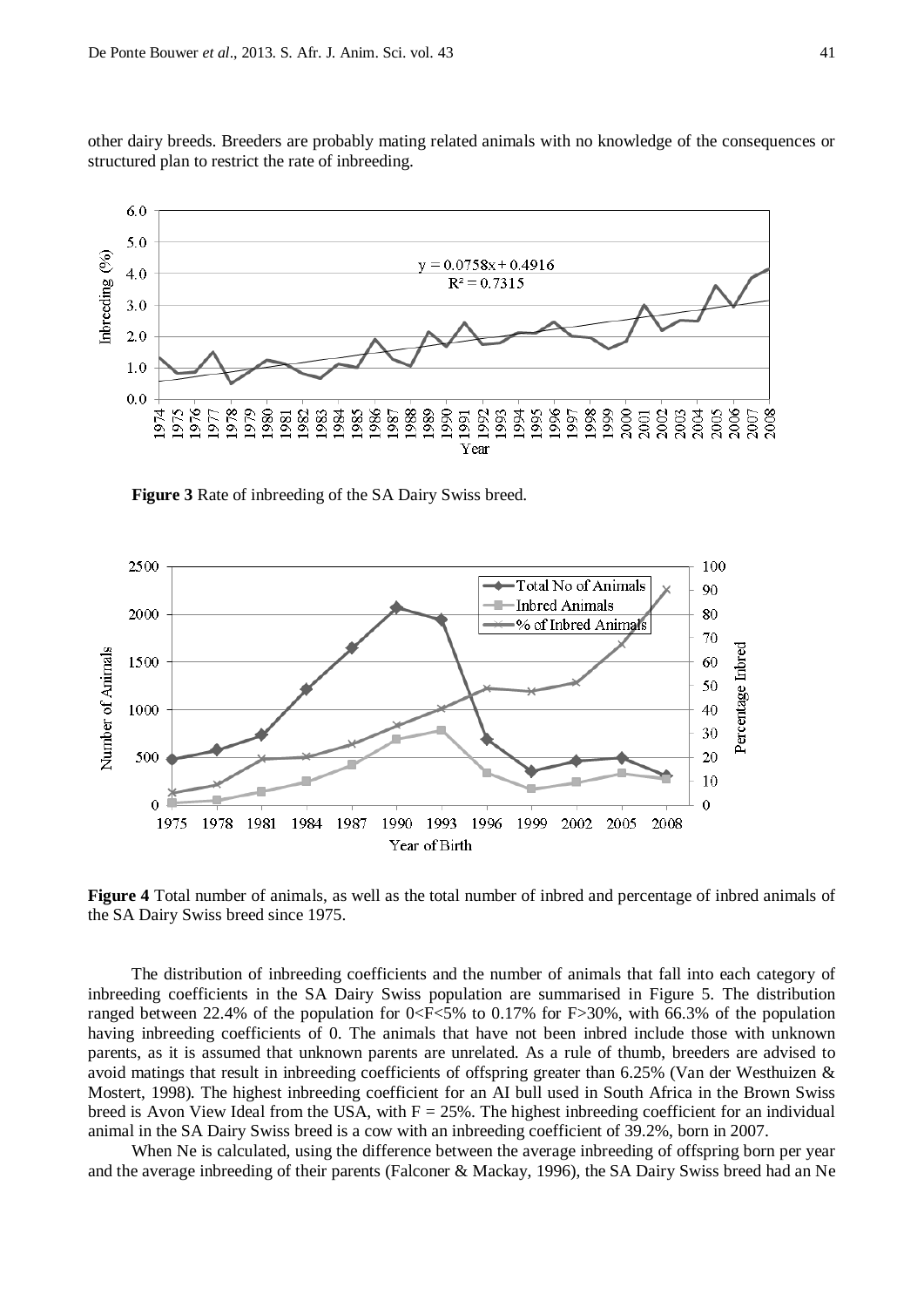other dairy breeds. Breeders are probably mating related animals with no knowledge of the consequences or structured plan to restrict the rate of inbreeding.



**Figure 3** Rate of inbreeding of the SA Dairy Swiss breed.



**Figure 4** Total number of animals, as well as the total number of inbred and percentage of inbred animals of the SA Dairy Swiss breed since 1975.

The distribution of inbreeding coefficients and the number of animals that fall into each category of inbreeding coefficients in the SA Dairy Swiss population are summarised in Figure 5. The distribution ranged between 22.4% of the population for  $0 < F < 5\%$  to 0.17% for F $> 30\%$ , with 66.3% of the population having inbreeding coefficients of 0. The animals that have not been inbred include those with unknown parents, as it is assumed that unknown parents are unrelated. As a rule of thumb, breeders are advised to avoid matings that result in inbreeding coefficients of offspring greater than 6.25% (Van der Westhuizen & Mostert, 1998). The highest inbreeding coefficient for an AI bull used in South Africa in the Brown Swiss breed is Avon View Ideal from the USA, with  $F = 25\%$ . The highest inbreeding coefficient for an individual animal in the SA Dairy Swiss breed is a cow with an inbreeding coefficient of 39.2%, born in 2007.

When Ne is calculated, using the difference between the average inbreeding of offspring born per year and the average inbreeding of their parents (Falconer & Mackay, 1996), the SA Dairy Swiss breed had an Ne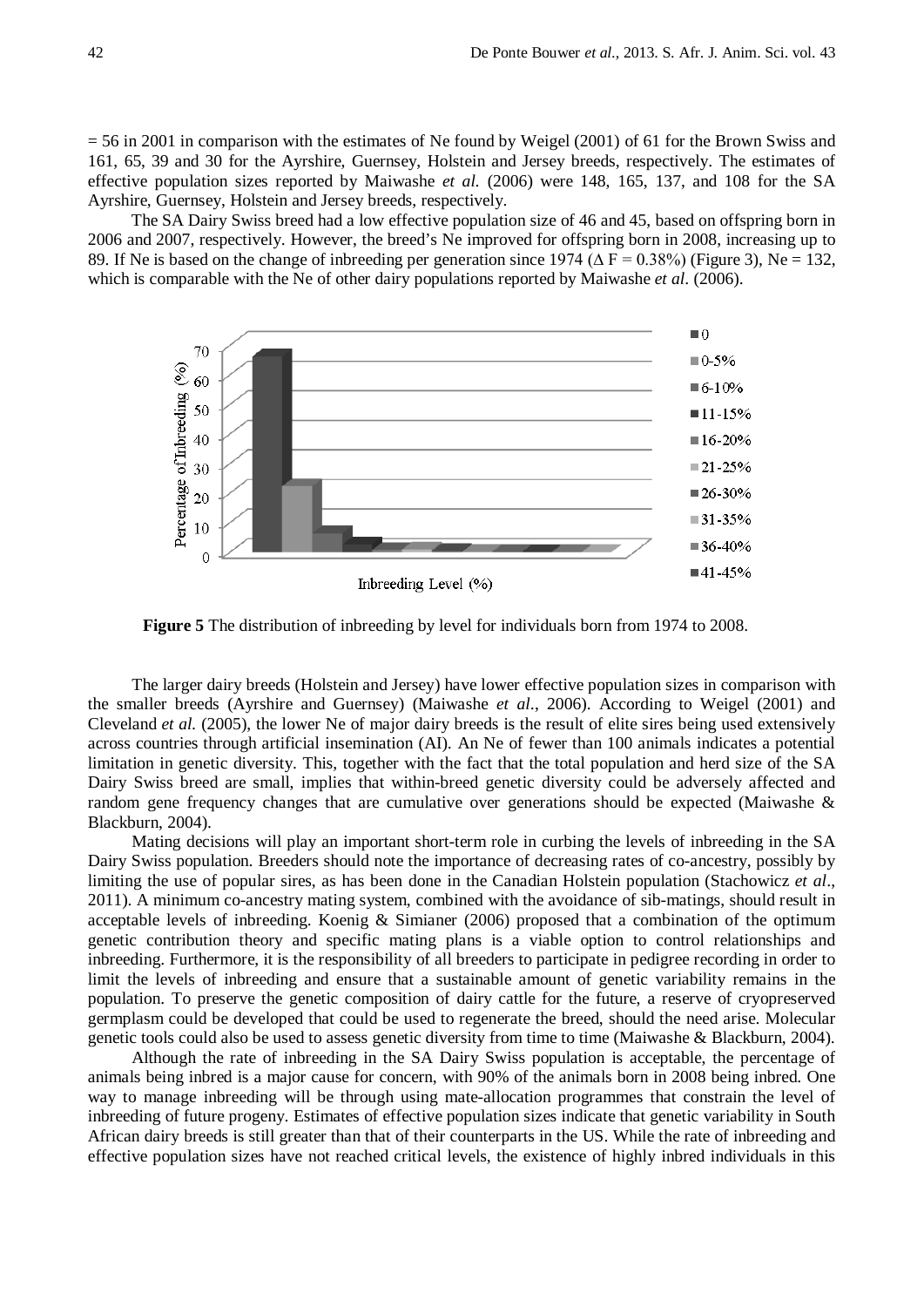$= 56$  in 2001 in comparison with the estimates of Ne found by Weigel (2001) of 61 for the Brown Swiss and 161, 65, 39 and 30 for the Ayrshire, Guernsey, Holstein and Jersey breeds, respectively. The estimates of effective population sizes reported by Maiwashe *et al.* (2006) were 148, 165, 137, and 108 for the SA Ayrshire, Guernsey, Holstein and Jersey breeds, respectively.

The SA Dairy Swiss breed had a low effective population size of 46 and 45, based on offspring born in 2006 and 2007, respectively. However, the breed's Ne improved for offspring born in 2008, increasing up to 89. If Ne is based on the change of inbreeding per generation since 1974 ( $\Delta F = 0.38\%$ ) (Figure 3), Ne = 132, which is comparable with the Ne of other dairy populations reported by Maiwashe *et al*. (2006).



**Figure 5** The distribution of inbreeding by level for individuals born from 1974 to 2008.

The larger dairy breeds (Holstein and Jersey) have lower effective population sizes in comparison with the smaller breeds (Ayrshire and Guernsey) (Maiwashe *et al*., 2006). According to Weigel (2001) and Cleveland *et al.* (2005), the lower Ne of major dairy breeds is the result of elite sires being used extensively across countries through artificial insemination (AI). An Ne of fewer than 100 animals indicates a potential limitation in genetic diversity. This, together with the fact that the total population and herd size of the SA Dairy Swiss breed are small, implies that within-breed genetic diversity could be adversely affected and random gene frequency changes that are cumulative over generations should be expected (Maiwashe & Blackburn, 2004).

Mating decisions will play an important short-term role in curbing the levels of inbreeding in the SA Dairy Swiss population. Breeders should note the importance of decreasing rates of co-ancestry, possibly by limiting the use of popular sires, as has been done in the Canadian Holstein population (Stachowicz *et al*., 2011). A minimum co-ancestry mating system, combined with the avoidance of sib-matings, should result in acceptable levels of inbreeding. Koenig & Simianer (2006) proposed that a combination of the optimum genetic contribution theory and specific mating plans is a viable option to control relationships and inbreeding. Furthermore, it is the responsibility of all breeders to participate in pedigree recording in order to limit the levels of inbreeding and ensure that a sustainable amount of genetic variability remains in the population. To preserve the genetic composition of dairy cattle for the future, a reserve of cryopreserved germplasm could be developed that could be used to regenerate the breed, should the need arise. Molecular genetic tools could also be used to assess genetic diversity from time to time (Maiwashe & Blackburn, 2004).

Although the rate of inbreeding in the SA Dairy Swiss population is acceptable, the percentage of animals being inbred is a major cause for concern, with 90% of the animals born in 2008 being inbred. One way to manage inbreeding will be through using mate-allocation programmes that constrain the level of inbreeding of future progeny. Estimates of effective population sizes indicate that genetic variability in South African dairy breeds is still greater than that of their counterparts in the US. While the rate of inbreeding and effective population sizes have not reached critical levels, the existence of highly inbred individuals in this